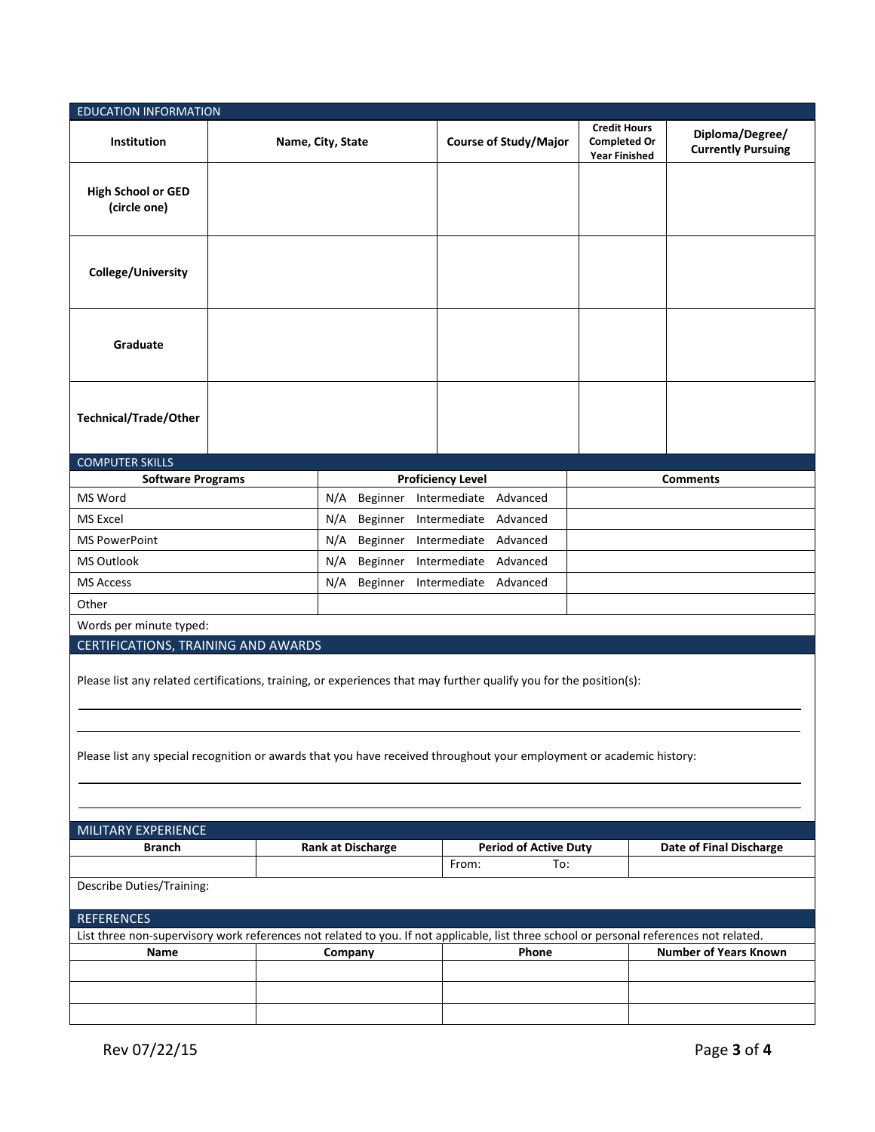| <b>EDUCATION INFORMATION</b>                                                                                                                                                                                                               |  |                                    |                                                      |                                                                    |                                              |  |  |  |  |
|--------------------------------------------------------------------------------------------------------------------------------------------------------------------------------------------------------------------------------------------|--|------------------------------------|------------------------------------------------------|--------------------------------------------------------------------|----------------------------------------------|--|--|--|--|
| Institution                                                                                                                                                                                                                                |  | Name, City, State                  | <b>Course of Study/Major</b>                         | <b>Credit Hours</b><br><b>Completed Or</b><br><b>Year Finished</b> | Diploma/Degree/<br><b>Currently Pursuing</b> |  |  |  |  |
| <b>High School or GED</b><br>(circle one)                                                                                                                                                                                                  |  |                                    |                                                      |                                                                    |                                              |  |  |  |  |
| College/University                                                                                                                                                                                                                         |  |                                    |                                                      |                                                                    |                                              |  |  |  |  |
| Graduate                                                                                                                                                                                                                                   |  |                                    |                                                      |                                                                    |                                              |  |  |  |  |
| <b>Technical/Trade/Other</b>                                                                                                                                                                                                               |  |                                    |                                                      |                                                                    |                                              |  |  |  |  |
| <b>COMPUTER SKILLS</b>                                                                                                                                                                                                                     |  |                                    |                                                      |                                                                    |                                              |  |  |  |  |
| <b>Software Programs</b><br>MS Word                                                                                                                                                                                                        |  | N/A<br>Beginner                    | <b>Proficiency Level</b><br>Intermediate<br>Advanced |                                                                    | <b>Comments</b>                              |  |  |  |  |
| MS Excel                                                                                                                                                                                                                                   |  | N/A<br>Beginner                    | Advanced<br>Intermediate                             |                                                                    |                                              |  |  |  |  |
| <b>MS PowerPoint</b>                                                                                                                                                                                                                       |  |                                    | Intermediate<br>Advanced                             |                                                                    |                                              |  |  |  |  |
| <b>MS Outlook</b>                                                                                                                                                                                                                          |  | N/A<br>Beginner<br>N/A<br>Beginner | Advanced<br>Intermediate                             |                                                                    |                                              |  |  |  |  |
| <b>MS Access</b>                                                                                                                                                                                                                           |  | N/A<br>Beginner                    | Intermediate<br>Advanced                             |                                                                    |                                              |  |  |  |  |
|                                                                                                                                                                                                                                            |  |                                    |                                                      |                                                                    |                                              |  |  |  |  |
| Other                                                                                                                                                                                                                                      |  |                                    |                                                      |                                                                    |                                              |  |  |  |  |
| Words per minute typed:<br>CERTIFICATIONS, TRAINING AND AWARDS                                                                                                                                                                             |  |                                    |                                                      |                                                                    |                                              |  |  |  |  |
| Please list any related certifications, training, or experiences that may further qualify you for the position(s):<br>Please list any special recognition or awards that you have received throughout your employment or academic history: |  |                                    |                                                      |                                                                    |                                              |  |  |  |  |
| MILITARY EXPERIENCE                                                                                                                                                                                                                        |  |                                    |                                                      |                                                                    |                                              |  |  |  |  |
| Branch                                                                                                                                                                                                                                     |  | <b>Rank at Discharge</b>           |                                                      | <b>Period of Active Duty</b>                                       | Date of Final Discharge                      |  |  |  |  |
|                                                                                                                                                                                                                                            |  |                                    | From:<br>To:                                         |                                                                    |                                              |  |  |  |  |
| Describe Duties/Training:                                                                                                                                                                                                                  |  |                                    |                                                      |                                                                    |                                              |  |  |  |  |
| <b>REFERENCES</b>                                                                                                                                                                                                                          |  |                                    |                                                      |                                                                    |                                              |  |  |  |  |
| List three non-supervisory work references not related to you. If not applicable, list three school or personal references not related.                                                                                                    |  |                                    |                                                      |                                                                    |                                              |  |  |  |  |
| Name                                                                                                                                                                                                                                       |  | Company                            | Phone                                                |                                                                    | <b>Number of Years Known</b>                 |  |  |  |  |
|                                                                                                                                                                                                                                            |  |                                    |                                                      |                                                                    |                                              |  |  |  |  |
|                                                                                                                                                                                                                                            |  |                                    |                                                      |                                                                    |                                              |  |  |  |  |